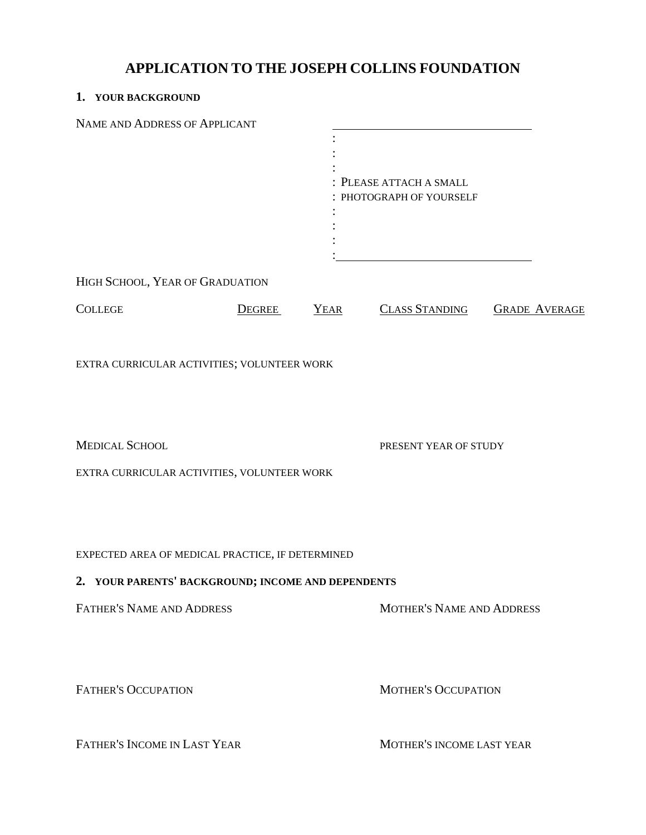# **APPLICATION TO THE JOSEPH COLLINS FOUNDATION**

# **1. YOUR BACKGROUND**

| NAME AND ADDRESS OF APPLICANT                      |               |             |                                  |                      |  |
|----------------------------------------------------|---------------|-------------|----------------------------------|----------------------|--|
|                                                    |               |             |                                  |                      |  |
|                                                    |               |             |                                  |                      |  |
|                                                    |               |             | PLEASE ATTACH A SMALL            |                      |  |
|                                                    |               |             | PHOTOGRAPH OF YOURSELF           |                      |  |
|                                                    |               |             |                                  |                      |  |
|                                                    |               |             |                                  |                      |  |
|                                                    |               |             |                                  |                      |  |
| HIGH SCHOOL, YEAR OF GRADUATION                    |               |             |                                  |                      |  |
| <b>COLLEGE</b>                                     | <b>DEGREE</b> | <b>YEAR</b> | <b>CLASS STANDING</b>            | <b>GRADE AVERAGE</b> |  |
| EXTRA CURRICULAR ACTIVITIES; VOLUNTEER WORK        |               |             |                                  |                      |  |
| <b>MEDICAL SCHOOL</b>                              |               |             | PRESENT YEAR OF STUDY            |                      |  |
| EXTRA CURRICULAR ACTIVITIES, VOLUNTEER WORK        |               |             |                                  |                      |  |
| EXPECTED AREA OF MEDICAL PRACTICE, IF DETERMINED   |               |             |                                  |                      |  |
| 2. YOUR PARENTS' BACKGROUND; INCOME AND DEPENDENTS |               |             |                                  |                      |  |
| FATHER'S NAME AND ADDRESS                          |               |             | <b>MOTHER'S NAME AND ADDRESS</b> |                      |  |
| <b>FATHER'S OCCUPATION</b>                         |               |             | <b>MOTHER'S OCCUPATION</b>       |                      |  |
| FATHER'S INCOME IN LAST YEAR                       |               |             | MOTHER'S INCOME LAST YEAR        |                      |  |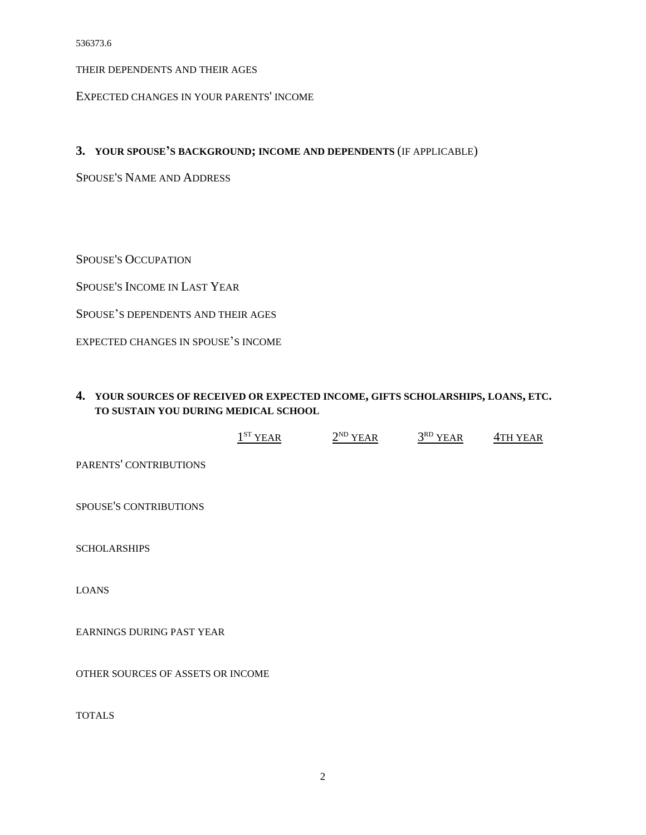THEIR DEPENDENTS AND THEIR AGES

EXPECTED CHANGES IN YOUR PARENTS' INCOME

#### **3. YOUR SPOUSE'S BACKGROUND; INCOME AND DEPENDENTS** (IF APPLICABLE)

SPOUSE'S NAME AND ADDRESS

SPOUSE'S OCCUPATION

SPOUSE'S INCOME IN LAST YEAR

SPOUSE'S DEPENDENTS AND THEIR AGES

EXPECTED CHANGES IN SPOUSE'S INCOME

## **4. YOUR SOURCES OF RECEIVED OR EXPECTED INCOME, GIFTS SCHOLARSHIPS, LOANS, ETC. TO SUSTAIN YOU DURING MEDICAL SCHOOL**

|                                   | $1ST$ YEAR | $2^{ND}$ YEAR | $3^{RD}$ YEAR | 4TH YEAR |
|-----------------------------------|------------|---------------|---------------|----------|
| PARENTS' CONTRIBUTIONS            |            |               |               |          |
| SPOUSE'S CONTRIBUTIONS            |            |               |               |          |
| <b>SCHOLARSHIPS</b>               |            |               |               |          |
| <b>LOANS</b>                      |            |               |               |          |
| EARNINGS DURING PAST YEAR         |            |               |               |          |
| OTHER SOURCES OF ASSETS OR INCOME |            |               |               |          |
| <b>TOTALS</b>                     |            |               |               |          |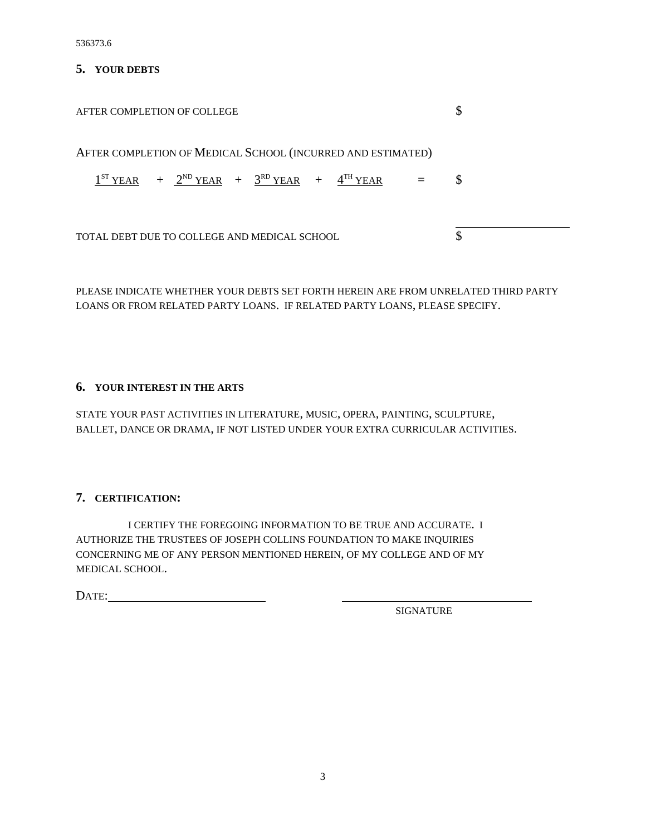536373.6

#### **5. YOUR DEBTS**

| AFTER COMPLETION OF COLLEGE                                                                                                  |          | \$ |
|------------------------------------------------------------------------------------------------------------------------------|----------|----|
| AFTER COMPLETION OF MEDICAL SCHOOL (INCURRED AND ESTIMATED)<br>$1^{ST}$ YEAR + $2^{ND}$ YEAR + $3^{RD}$ YEAR + $4^{TH}$ YEAR | <b>S</b> |    |
| TOTAL DEBT DUE TO COLLEGE AND MEDICAL SCHOOL                                                                                 |          |    |

PLEASE INDICATE WHETHER YOUR DEBTS SET FORTH HEREIN ARE FROM UNRELATED THIRD PARTY LOANS OR FROM RELATED PARTY LOANS. IF RELATED PARTY LOANS, PLEASE SPECIFY.

#### **6. YOUR INTEREST IN THE ARTS**

STATE YOUR PAST ACTIVITIES IN LITERATURE, MUSIC, OPERA, PAINTING, SCULPTURE, BALLET, DANCE OR DRAMA, IF NOT LISTED UNDER YOUR EXTRA CURRICULAR ACTIVITIES.

## **7. CERTIFICATION:**

I CERTIFY THE FOREGOING INFORMATION TO BE TRUE AND ACCURATE. I AUTHORIZE THE TRUSTEES OF JOSEPH COLLINS FOUNDATION TO MAKE INQUIRIES CONCERNING ME OF ANY PERSON MENTIONED HEREIN, OF MY COLLEGE AND OF MY MEDICAL SCHOOL.

DATE:

SIGNATURE